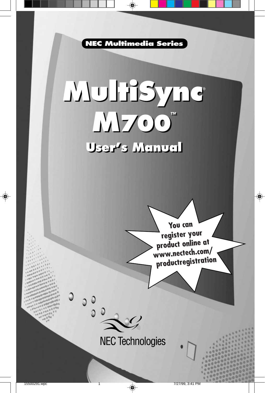**NEC Multimedia Series**

## **MultiSync M700™ User's Manual User's Manual MultiSync**® **M700™**

**You can register your product online at www.nectech.com/ productregistration**

**NEC Technologies**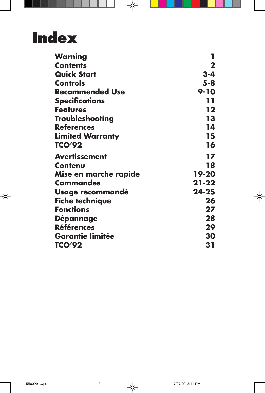# **Index**

| 1         |
|-----------|
| 2         |
| $3 - 4$   |
| $5 - 8$   |
| $9 - 10$  |
| 11        |
| 12        |
| 13        |
| 14        |
| 15        |
| 16        |
| 17        |
| 18        |
| 19-20     |
| $21 - 22$ |
| $24 - 25$ |
| 26        |
| 27        |
| 28        |
| 29        |
| 30        |
| 31        |
|           |

 $\Rightarrow$ 

 $\overline{\phantom{a}}$ 

T

 $\color{red}\blacklozenge$ 

 $\bigcirc$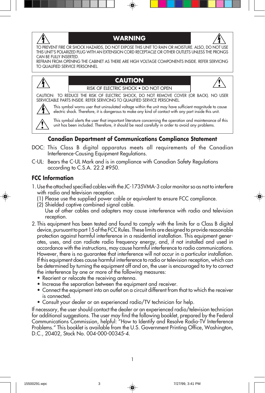

#### **WARNING**



TO PREVENT FIRE OR SHOCK HAZARDS, DO NOT EXPOSE THIS UNIT TO RAIN OR MOISTURE. ALSO, DO NOT USE THIS UNIT'S POLARIZED PLUG WITH AN EXTENSION CORD RECEPTACLE OR OTHER OUTLETS UNLESS THE PRONGS CAN BE FULLY INSERTED.

REFRAIN FROM OPENING THE CABINET AS THERE ARE HIGH VOLTAGE COMPONENTS INSIDE. REFER SERVICING TO QUALIFIED SERVICE PERSONNEL.



#### **CAUTION** RISK OF ELECTRIC SHOCK • DO NOT OPEN



CAUTION: TO REDUCE THE RISK OF ELECTRIC SHOCK, DO NOT REMOVE COVER (OR BACK). NO USER SERVICEABLE PARTS INSIDE. REFER SERVICING TO QUALIFIED SERVICE PERSONNEL.



This symbol warns user that uninsulated voltage within the unit may have sufficient magnitude to cause electric shock. Therefore, it is dangerous to make any kind of contact with any part inside this unit.

This symbol alerts the user that important literature concerning the operation and maintenance of this unit has been included. Therefore, it should be read carefully in order to avoid any problems.

#### **Canadian Department of Communications Compliance Statement**

- DOC: This Class B digital apparatus meets all requirements of the Canadian Interference-Causing Equipment Regulations.
- C-UL: Bears the C-UL Mark and is in compliance with Canadian Safety Regulations according to C.S.A. 22.2 #950.

#### **FCC Information**

- 1.Use the attached specified cables with the JC-1735VMA-3 color monitor so as not to interfere with radio and television reception.
	- (1) Please use the supplied power cable or equivalent to ensure FCC compliance.
	- (2) Shielded captive combined signal cable.
	- Use of other cables and adapters may cause interference with radio and television reception.
- 2. This equipment has been tested and found to comply with the limits for a Class B digital device, pursuant to part 15 of the FCC Rules. These limits are designed to provide reasonable protection against harmful interference in a residential installation. This equipment generates, uses, and can radiate radio frequency energy, and, if not installed and used in accordance with the instructions, may cause harmful interference to radio communications. However, there is no guarantee that interference will not occur in a particular installation. If this equipment does cause harmful interference to radio or television reception, which can be determined by turning the equipment off and on, the user is encouraged to try to correct the interference by one or more of the following measures:
	- Reorient or relocate the receiving antenna.
	- Increase the separation between the equipment and receiver.
	- Connect the equipment into an outlet on a circuit different from that to which the receiver is connected.
	- Consult your dealer or an experienced radio/TV technician for help.

If necessary, the user should contact the dealer or an experienced radio/television technician for additional suggestions. The user may find the following booklet, prepared by the Federal Communications Commission, helpful: "How to Identify and Resolve Radio-TV Interference Problems." This booklet is available from the U.S. Government Printing Office, Washington, D.C., 20402, Stock No. 004-000-00345-4.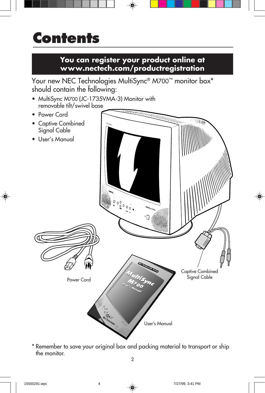## **Contents**

### **You can register your product online at www.nectech.com/productregistration**

Your new NEC Technologies MultiSync® M700™ monitor box\* should contain the following:

- MultiSync M700 (JC-1735VMA-3) Monitor with removable tilt/swivel base
- Power Cord
- Captive Combined Signal Cable
- User's Manual



\* Remember to save your original box and packing material to transport or ship the monitor.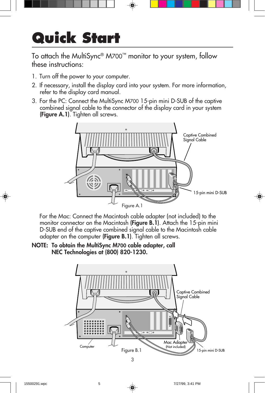# **Quick Start**

To attach the MultiSync® M700™ monitor to your system, follow these instructions:

- 1. Turn off the power to your computer.
- 2. If necessary, install the display card into your system. For more information, refer to the display card manual.
- 3. For the PC: Connect the MultiSync M700 15-pin mini D-SUB of the captive combined signal cable to the connector of the display card in your system (Figure A.1). Tighten all screws.



For the Mac: Connect the Macintosh cable adapter (not included) to the monitor connector on the Macintosh (Figure B.1). Attach the 15-pin mini D-SUB end of the captive combined signal cable to the Macintosh cable adapter on the computer (**Figure B.1**). Tighten all screws.

NOTE: To obtain the MultiSync M700 cable adapter, call NEC Technologies at (800) 820-1230.

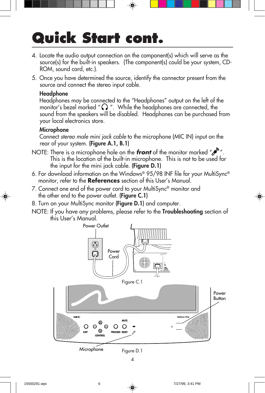# **Quick Start cont.**

- 4. Locate the audio output connection on the component(s) which will serve as the source(s) for the built-in speakers. (The component(s) could be your system, CD-ROM, sound card, etc.).
- 5. Once you have determined the source, identify the connector present from the source and connect the stereo input cable.

#### Headphone

Headphones may be connected to the "Headphones" output on the left of the monitor's bezel marked " $\bigcirc$ ". While the headphones are connected, the sound from the speakers will be disabled. Headphones can be purchased from your local electronics store.

#### Microphone

Connect stereo male mini jack cable to the microphone (MIC IN) input on the rear of your system. (Figure A.1, B.1)

- NOTE: There is a microphone hole on the **front** of the monitor marked " $\mathcal{P}^{\mathcal{N}}$ ". This is the location of the built-in microphone. This is not to be used for the input for the mini jack cable. (Figure D.1)
- 6. For download information on the Windows® 95/98 INF file for your MultiSync® monitor, refer to the **References** section of this User's Manual.
- 7. Connect one end of the power cord to your MultiSync® monitor and the other end to the power outlet. (**Figure C.1**)
- 8. Turn on your MultiSync monitor (Figure D.1) and computer.
- NOTE: If you have any problems, please refer to the **Troubleshooting** section of this User's Manual.

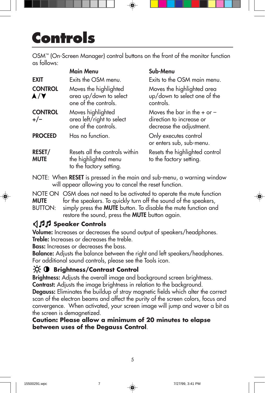# **Controls**

OSM™ (On-Screen Manager) control buttons on the front of the monitor function as follows:

|                              | <b>Main Menu</b>                                                                  | Sub-Menu                                                                                |
|------------------------------|-----------------------------------------------------------------------------------|-----------------------------------------------------------------------------------------|
| <b>EXIT</b>                  | Exits the OSM menu.                                                               | Exits to the OSM main menu.                                                             |
| <b>CONTROL</b><br>A/V        | Moves the highlighted<br>area up/down to select<br>one of the controls.           | Moves the highlighted area<br>up/down to select one of the<br>controls.                 |
| <b>CONTROL</b><br>$+/-$      | Moves highlighted<br>area left/right to select<br>one of the controls.            | Moves the bar in the $+$ or $-$<br>direction to increase or<br>decrease the adjustment. |
| <b>PROCEED</b>               | Has no function.                                                                  | Only executes control<br>or enters sub, sub-menu.                                       |
| <b>RESET/</b><br><b>MUTE</b> | Resets all the controls within<br>the highlighted menu<br>to the factory setting. | Resets the highlighted control<br>to the factory setting.                               |

NOTE: When RESET is pressed in the main and sub-menu, a warning window will appear allowing you to cancel the reset function.

NOTE ON OSM does not need to be activated to operate the mute function **MUTE** for the speakers. To quickly turn off the sound of the speakers, BUTTON: simply press the **MUTE** button. To disable the mute function and restore the sound, press the MUTE button again.

### **Speaker Controls**

Volume: Increases or decreases the sound output of speakers/headphones. Treble: Increases or decreases the treble.

Bass: Increases or decreases the bass.

Balance: Adjusts the balance between the right and left speakers/headphones. For additional sound controls, please see the Tools icon.

### **Brightness/Contrast Control**

**Brightness:** Adjusts the overall image and background screen brightness. Contrast: Adjusts the image brightness in relation to the background.

**Degauss:** Eliminates the buildup of stray magnetic fields which alter the correct scan of the electron beams and affect the purity of the screen colors, focus and convergence. When activated, your screen image will jump and waver a bit as the screen is demagnetized.

5

### **Caution: Please allow a minimum of 20 minutes to elapse between uses of the Degauss Control**.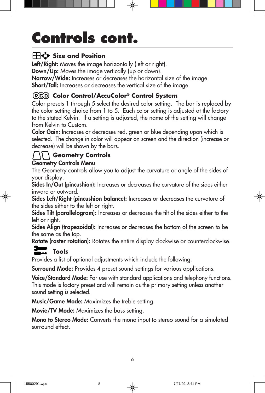# **Controls cont.**

### **Size and Position**

Left/Right: Moves the image horizontally (left or right).

**Down/Up:** Moves the image vertically (up or down).

Narrow/Wide: Increases or decreases the horizontal size of the image. Short/Tall: Increases or decreases the vertical size of the image.

### **Color Control/AccuColor® Control System**

Color presets 1 through 5 select the desired color setting. The bar is replaced by the color setting choice from 1 to 5. Each color setting is adjusted at the factory to the stated Kelvin. If a setting is adjusted, the name of the setting will change from Kelvin to Custom.

Color Gain: Increases or decreases red, green or blue depending upon which is selected. The change in color will appear on screen and the direction (increase or decrease) will be shown by the bars.

### **Geometry Controls**

### Geometry Controls Menu

The Geometry controls allow you to adjust the curvature or angle of the sides of your display.

Sides In/Out (pincushion): Increases or decreases the curvature of the sides either inward or outward.

Sides Left/Right (pincushion balance): Increases or decreases the curvature of the sides either to the left or right.

Sides Tilt (parallelogram): Increases or decreases the tilt of the sides either to the left or right.

Sides Align (trapezoidal): Increases or decreases the bottom of the screen to be the same as the top.

**Rotate (raster rotation):** Rotates the entire display clockwise or counterclockwise.

### **Tools**

Provides a list of optional adjustments which include the following:

**Surround Mode:** Provides 4 preset sound settings for various applications.

**Voice/Standard Mode:** For use with standard applications and telephony functions. This mode is factory preset and will remain as the primary setting unless another sound setting is selected.

Music/Game Mode: Maximizes the treble setting.

Movie/TV Mode: Maximizes the bass setting.

Mono to Stereo Mode: Converts the mono input to stereo sound for a simulated surround effect.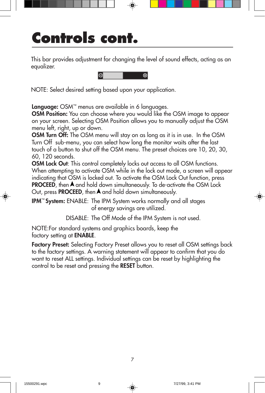# **Controls cont.**

This bar provides adjustment for changing the level of sound effects, acting as an equalizer.



NOTE: Select desired setting based upon your application.

**Language:** OSM™ menus are available in 6 languages.

**OSM Position:** You can choose where you would like the OSM image to appear on your screen. Selecting OSM Position allows you to manually adjust the OSM menu left, right, up or down.

**OSM Turn Off:** The OSM menu will stay on as long as it is in use. In the OSM Turn Off sub-menu, you can select how long the monitor waits after the last touch of a button to shut off the OSM menu. The preset choices are 10, 20, 30, 60, 120 seconds.

OSM Lock Out: This control completely locks out access to all OSM functions. When attempting to activate OSM while in the lock out mode, a screen will appear indicating that OSM is locked out. To activate the OSM Lock Out function, press **PROCEED**, then  $\blacktriangle$  and hold down simultaneously. To de-activate the OSM Lock Out, press **PROCEED**, then  $\blacktriangle$  and hold down simultaneously.

IPM™ System: ENABLE: The IPM System works normally and all stages of energy savings are utilized.

DISABLE: The Off Mode of the IPM System is not used.

NOTE:For standard systems and graphics boards, keep the factory setting at ENABLE.

Factory Preset: Selecting Factory Preset allows you to reset all OSM settings back to the factory settings. A warning statement will appear to confirm that you do want to reset ALL settings. Individual settings can be reset by highlighting the control to be reset and pressing the RESET button.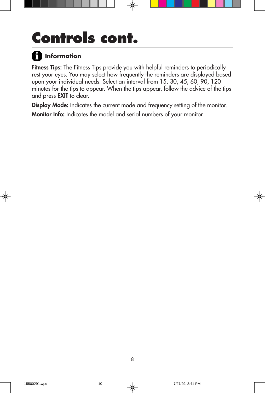# **Controls cont.**

### **Information**

Fitness Tips: The Fitness Tips provide you with helpful reminders to periodically rest your eyes. You may select how frequently the reminders are displayed based upon your individual needs. Select an interval from 15, 30, 45, 60, 90, 120 minutes for the tips to appear. When the tips appear, follow the advice of the tips and press EXIT to clear.

Display Mode: Indicates the current mode and frequency setting of the monitor. Monitor Info: Indicates the model and serial numbers of your monitor.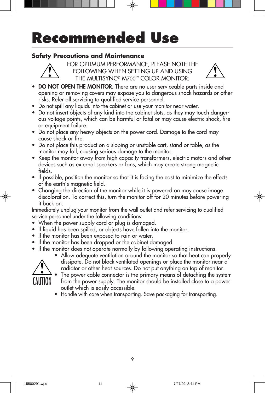# **Recommended Use**

### **Safety Precautions and Maintenance**



FOR OPTIMUM PERFORMANCE, PLEASE NOTE THE FOLLOWING WHEN SETTING UP AND USING THE MULTISYNC® M700™ COLOR MONITOR:



- DO NOT OPEN THE MONITOR. There are no user serviceable parts inside and opening or removing covers may expose you to dangerous shock hazards or other risks. Refer all servicing to qualified service personnel.
- Do not spill any liquids into the cabinet or use your monitor near water.
- Do not insert objects of any kind into the cabinet slots, as they may touch dangerous voltage points, which can be harmful or fatal or may cause electric shock, fire or equipment failure.
- Do not place any heavy objects on the power cord. Damage to the cord may cause shock or fire.
- Do not place this product on a sloping or unstable cart, stand or table, as the monitor may fall, causing serious damage to the monitor.
- Keep the monitor away from high capacity transformers, electric motors and other devices such as external speakers or fans, which may create strong magnetic fields.
- If possible, position the monitor so that it is facing the east to minimize the effects of the earth's magnetic field.
- Changing the direction of the monitor while it is powered on may cause image discoloration. To correct this, turn the monitor off for 20 minutes before powering it back on.

Immediately unplug your monitor from the wall outlet and refer servicing to qualified service personnel under the following conditions:

- When the power supply cord or plug is damaged.
- If liquid has been spilled, or objects have fallen into the monitor.
- If the monitor has been exposed to rain or water.
- If the monitor has been dropped or the cabinet damaged.
- If the monitor does not operate normally by following operating instructions.
- Allow adequate ventilation around the monitor so that heat can properly CAUTION
	- radiator or other heat sources. Do not put anything on top of monitor. The power cable connector is the primary means of detaching the system from the power supply. The monitor should be installed close to a power outlet which is easily accessible.

dissipate. Do not block ventilated openings or place the monitor near a

• Handle with care when transporting. Save packaging for transporting.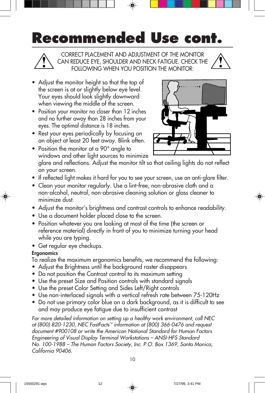# **Recommended Use cont.**

CORRECT PLACEMENT AND ADJUSTMENT OF THE MONITOR CAN REDUCE EYE, SHOULDER AND NECK FATIGUE. CHECK THE FOLLOWING WHEN YOU POSITION THE MONITOR:

- Adjust the monitor height so that the top of the screen is at or slightly below eye level. Your eyes should look slightly downward when viewing the middle of the screen.
- Position your monitor no closer than 12 inches and no further away than 28 inches from your eyes. The optimal distance is 18 inches.
- Rest your eyes periodically by focusing on an object at least 20 feet away. Blink often.



- Position the monitor at a 90° angle to windows and other light sources to minimize glare and reflections. Adjust the monitor tilt so that ceiling lights do not reflect on your screen.
- If reflected light makes it hard for you to see your screen, use an anti-glare filter.
- Clean your monitor regularly. Use a lint-free, non-abrasive cloth and a non-alcohol, neutral, non-abrasive cleaning solution or glass cleaner to minimize dust.
- Adjust the monitor's brightness and contrast controls to enhance readability.
- Use a document holder placed close to the screen.
- Position whatever you are looking at most of the time (the screen or reference material) directly in front of you to minimize turning your head while you are typing.
- Get regular eye checkups.

### **Ergonomics**

To realize the maximum ergonomics benefits, we recommend the following:

- Adjust the Brightness until the background raster disappears
- Do not position the Contrast control to its maximum setting
- Use the preset Size and Position controls with standard signals
- Use the preset Color Setting and Sides Left/Right controls
- Use non-interlaced signals with a vertical refresh rate between 75-120Hz
- Do not use primary color blue on a dark background, as it is difficult to see and may produce eye fatigue due to insufficient contrast

For more detailed information on setting up a healthy work environment, call NEC at (800) 820-1230, NEC FastFacts™ information at (800) 366-0476 and request document #900108 or write the American National Standard for Human Factors Engineering of Visual Display Terminal Workstations – ANSI-HFS Standard No. 100-1988 – The Human Factors Society, Inc. P.O. Box 1369, Santa Monica, California 90406.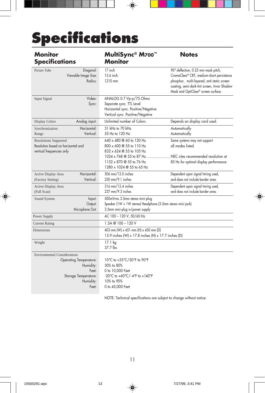# **Specifications**

| <b>Monitor</b><br><b>Specifications</b>                                                                                                  | MultiSync® M700™<br><b>Monitor</b>                                                                                                                                                                         | <b>Notes</b>                                                                                                                                                                                                           |  |
|------------------------------------------------------------------------------------------------------------------------------------------|------------------------------------------------------------------------------------------------------------------------------------------------------------------------------------------------------------|------------------------------------------------------------------------------------------------------------------------------------------------------------------------------------------------------------------------|--|
| Picture Tube<br>Diagonal:<br>Viewable Image Size:<br>Radius:                                                                             | 17 inch<br>15.6 inch<br>1210 mm                                                                                                                                                                            | 90° deflection, 0.25 mm mask pitch,<br>CromaClear® CRT, medium-short persistence<br>phosphor, multi-layered, anti-static screen<br>coating, semi-dark-tint screen, Invar Shadow<br>Mask and OptiClear® screen surface. |  |
| Video:<br>Input Signal<br>Sync:                                                                                                          | ANALOG 0.7 Vp-p/75 Ohms<br>Separate sync. TTL Level<br>Horizontal sync. Positive/Negative<br>Vertical sync. Positive/Negative                                                                              |                                                                                                                                                                                                                        |  |
| Analog input:<br><b>Display Colors</b>                                                                                                   | Unlimited number of Colors                                                                                                                                                                                 | Depends on display card used.                                                                                                                                                                                          |  |
| Horizontal:<br>Synchronization<br>Vertical:<br>Range                                                                                     | 31 kHz to 70 kHz<br>55 Hz to 120 Hz                                                                                                                                                                        | Automatically<br>Automatically                                                                                                                                                                                         |  |
| <b>Resolutions Supported</b><br>Resolution based on horizontal and<br>vertical frequencies only                                          | 640 x 480 @ 60 to 120 Hz<br>800 x 600 @ 55 to 110 Hz<br>832 x 624 @ 55 to 105 Hz<br>1024 x 768 @ 55 to 87 Hz  NEC cites recommended resolution at<br>1152 x 870 @ 55 to 76 Hz<br>1280 x 1024 @ 55 to 65 Hz | Some systems may not support<br>all modes listed.<br>85 Hz for optimal display performance.                                                                                                                            |  |
| Horizontal:<br>Active Display Area<br>Vertical:<br>(Factory Setting)                                                                     | 306 mm/12.0 inches<br>$230$ mm/9.1 inches                                                                                                                                                                  | Dependent upon signal timing used,<br>and does not include border area.                                                                                                                                                |  |
| Active Display Area<br>(Full Scan)                                                                                                       | 316 mm/12.4 inches<br>237 mm/9.3 inches                                                                                                                                                                    | Dependent upon signal timing used,<br>and does not include border area.                                                                                                                                                |  |
| Input:<br>Sound System<br>Output:<br>Microphone Out:                                                                                     | 500mVrms 3.5mm stereo mini-plug<br>Speaker (1W + 1W stereo) Headphone (3.5mm stereo mini-jack)<br>3.5mm mini-plug w/power supply                                                                           |                                                                                                                                                                                                                        |  |
| Power Supply                                                                                                                             | AC 100 - 120 V, 50/60 Hz                                                                                                                                                                                   |                                                                                                                                                                                                                        |  |
| <b>Current Rating</b>                                                                                                                    | $1.5A \otimes 100 - 120 V$                                                                                                                                                                                 |                                                                                                                                                                                                                        |  |
| <b>Dimensions</b>                                                                                                                        | 403 mm (W) x 451 mm (H) x 450 mm (D)<br>15.9 inches (W) x 17.8 inches (H) x 17.7 inches (D)                                                                                                                |                                                                                                                                                                                                                        |  |
| Weight                                                                                                                                   | 17.1 kg<br>37.7 lbs                                                                                                                                                                                        |                                                                                                                                                                                                                        |  |
| <b>Environmental Considerations</b><br><b>Operating Temperature:</b><br>Humidity:<br>Feet:<br>Storage Temperature:<br>Humidity:<br>Feet: | 10°C to +35°C/50°F to 90°F<br>30% to 80%<br>0 to 10,000 Feet<br>-20°C to +60°C/-4°F to +140°F<br>10% to 90%<br>0 to 45,000 Feet                                                                            |                                                                                                                                                                                                                        |  |

 $\bigcirc$ 

NOTE: Technical specifications are subject to change without notice.

◈

 $\bf \Phi$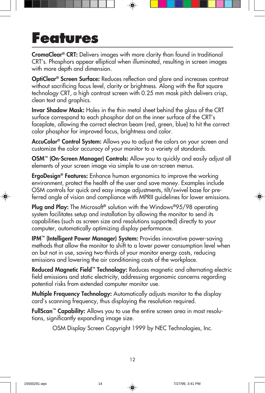### **Features**

CromaClear® CRT: Delivers images with more clarity than found in traditional CRT's. Phosphors appear elliptical when illuminated, resulting in screen images with more depth and dimension.

OptiClear® Screen Surface: Reduces reflection and glare and increases contrast without sacrificing focus level, clarity or brightness. Along with the flat square technology CRT, a high contrast screen with 0.25 mm mask pitch delivers crisp, clean text and graphics.

Invar Shadow Mask: Holes in the thin metal sheet behind the glass of the CRT surface correspond to each phosphor dot on the inner surface of the CRT's faceplate, allowing the correct electron beam (red, green, blue) to hit the correct color phosphor for improved focus, brightness and color.

**AccuColor<sup>®</sup> Control System:** Allows you to adjust the colors on your screen and customize the color accuracy of your monitor to a variety of standards.

**OSM<sup>™</sup> (On-Screen Manager) Controls:** Allow you to quickly and easily adjust all elements of your screen image via simple to use on-screen menus.

**ErgoDesign<sup>®</sup> Features:** Enhance human ergonomics to improve the working environment, protect the health of the user and save money. Examples include OSM controls for quick and easy image adjustments, tilt/swivel base for preferred angle of vision and compliance with MPRII guidelines for lower emissions.

**Plug and Play:** The Microsoft® solution with the Windows®95/98 operating system facilitates setup and installation by allowing the monitor to send its capabilities (such as screen size and resolutions supported) directly to your computer, automatically optimizing display performance.

IPM™ (Intelligent Power Manager) System: Provides innovative power-saving methods that allow the monitor to shift to a lower power consumption level when on but not in use, saving two-thirds of your monitor energy costs, reducing emissions and lowering the air conditioning costs of the workplace.

Reduced Magnetic Field™ Technology: Reduces magnetic and alternating electric field emissions and static electricity, addressing ergonomic concerns regarding potential risks from extended computer monitor use.

Multiple Frequency Technology: Automatically adjusts monitor to the display card's scanning frequency, thus displaying the resolution required.

FullScan™ Capability: Allows you to use the entire screen area in most resolutions, significantly expanding image size.

OSM Display Screen Copyright 1999 by NEC Technologies, Inc.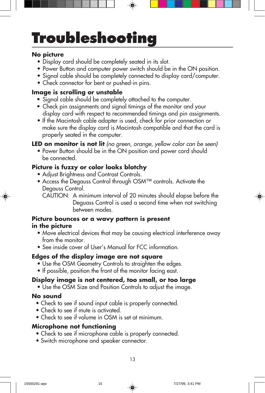# **Troubleshooting**

#### **No picture**

- Display card should be completely seated in its slot.
- Power Button and computer power switch should be in the ON position.
- Signal cable should be completely connected to display card/computer.
- Check connector for bent or pushed-in pins.

### **Image is scrolling or unstable**

- Signal cable should be completely attached to the computer.
- Check pin assignments and signal timings of the monitor and your display card with respect to recommended timings and pin assignments.
- If the Macintosh cable adapter is used, check for prior connection or make sure the display card is Macintosh compatible and that the card is properly seated in the computer.

### **LED on monitor is not lit** (no green, orange, yellow color can be seen)

• Power Button should be in the ON position and power cord should be connected.

### **Picture is fuzzy or color looks blotchy**

- Adjust Brightness and Contrast Controls.
- Access the Degauss Control through OSM™ controls. Activate the Degauss Control.
	- CAUTION: A minimum interval of 20 minutes should elapse before the Deguass Control is used a second time when not switching between modes.

### **Picture bounces or a wavy pattern is present in the picture**

- Move electrical devices that may be causing electrical interference away from the monitor.
- See inside cover of User's Manual for FCC information.

### **Edges of the display image are not square**

- Use the OSM Geometry Controls to straighten the edges.
- If possible, position the front of the monitor facing east.

### **Display image is not centered, too small, or too large**

• Use the OSM Size and Position Controls to adjust the image.

#### **No sound**

- Check to see if sound input cable is properly connected.
- Check to see if mute is activated.
- Check to see if volume in OSM is set at minimum.

### **Microphone not functioning**

- Check to see if microphone cable is properly connected.
- Switch microphone and speaker connector.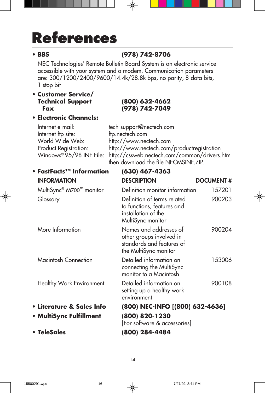# **References**

### **• BBS (978) 742-8706**

NEC Technologies' Remote Bulletin Board System is an electronic service accessible with your system and a modem. Communication parameters are: 300/1200/2400/9600/14.4k/28.8k bps, no parity, 8-data bits, 1 stop bit

#### **• Customer Service/ Technical Support (800) 632-4662 Fax (978) 742-7049**

### **• Electronic Channels:**

| Internet e-mail:         |
|--------------------------|
| Internet ftp site:       |
| World Wide Web:          |
| Product Registration:    |
| Windows® 95/98 INF File: |
|                          |

tech-support@nectech.com Internet ftp site: ftp.nectech.com http://www.nectech.com http://www.nectech.com/productregistration http://cssweb.nectech.com/common/drivers.htm then download the file NECMSINF.ZIP.

### **• FastFacts™ Information (630) 467-4363** INFORMATION DESCRIPTION DOCUMENT # MultiSync® M700™ monitor Definition monitor information 157201 Glossary Definition of terms related 900203 to functions, features and installation of the MultiSync monitor More Information Names and addresses of 900204 other groups involved in standards and features of the MultiSync monitor Macintosh Connection Detailed information on 153006 connecting the MultiSync monitor to a Macintosh Healthy Work Environment Detailed information on 900108 setting up a healthy work environment **• Literature & Sales Info (800) NEC-INFO [(800) 632-4636] • MultiSync Fulfillment (800) 820-1230** [For software & accessories]

**• TeleSales (800) 284-4484**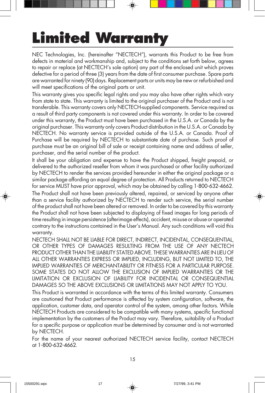# **Limited Warranty**

NEC Technologies, Inc. (hereinafter "NECTECH"), warrants this Product to be free from defects in material and workmanship and, subject to the conditions set forth below, agrees to repair or replace (at NECTECH's sole option) any part of the enclosed unit which proves defective for a period of three (3) years from the date of first consumer purchase. Spare parts are warranted for ninety (90) days. Replacement parts or units may be new or refurbished and will meet specifications of the original parts or unit.

This warranty gives you specific legal rights and you may also have other rights which vary from state to state. This warranty is limited to the original purchaser of the Product and is not transferable. This warranty covers only NECTECH-supplied components. Service required as a result of third party components is not covered under this warranty. In order to be covered under this warranty, the Product must have been purchased in the U.S.A. or Canada by the original purchaser. This warranty only covers Product distribution in the U.S.A. or Canada by NECTECH. No warranty service is provided outside of the U.S.A. or Canada. Proof of Purchase will be required by NECTECH to substantiate date of purchase. Such proof of purchase must be an original bill of sale or receipt containing name and address of seller, purchaser, and the serial number of the product.

It shall be your obligation and expense to have the Product shipped, freight prepaid, or delivered to the authorized reseller from whom it was purchased or other facility authorized by NECTECH to render the services provided hereunder in either the original package or a similar package affording an equal degree of protection. All Products returned to NECTECH for service MUST have prior approval, which may be obtained by calling 1-800-632-4662. The Product shall not have been previously altered, repaired, or serviced by anyone other than a service facility authorized by NECTECH to render such service, the serial number of the product shall not have been altered or removed. In order to be covered by this warranty the Product shall not have been subjected to displaying of fixed images for long periods of time resulting in image persistence (afterimage effects), accident, misuse or abuse or operated contrary to the instructions contained in the User's Manual. Any such conditions will void this warranty.

NECTECH SHALL NOT BE LIABLE FOR DIRECT, INDIRECT, INCIDENTAL, CONSEQUENTIAL, OR OTHER TYPES OF DAMAGES RESULTING FROM THE USE OF ANY NECTECH PRODUCT OTHER THAN THE LIABILITY STATED ABOVE. THESE WARRANTIES ARE IN LIEU OF ALL OTHER WARRANTIES EXPRESS OR IMPLIED, INCLUDING, BUT NOT LIMITED TO, THE IMPLIED WARRANTIES OF MERCHANTABILITY OR FITNESS FOR A PARTICULAR PURPOSE. SOME STATES DO NOT ALLOW THE EXCLUSION OF IMPLIED WARRANTIES OR THE LIMITATION OR EXCLUSION OF LIABILITY FOR INCIDENTAL OR CONSEQUENTIAL DAMAGES SO THE ABOVE EXCLUSIONS OR LIMITATIONS MAY NOT APPLY TO YOU.

This Product is warranted in accordance with the terms of this limited warranty. Consumers are cautioned that Product performance is affected by system configuration, software, the application, customer data, and operator control of the system, among other factors. While NECTECH Products are considered to be compatible with many systems, specific functional implementation by the customers of the Product may vary. Therefore, suitability of a Product for a specific purpose or application must be determined by consumer and is not warranted by NECTECH.

For the name of your nearest authorized NECTECH service facility, contact NECTECH at 1-800-632-4662.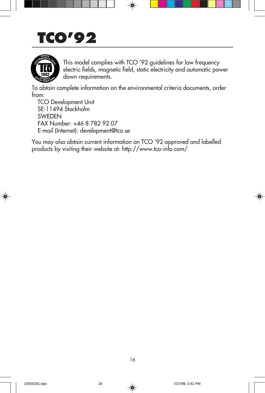## **TCO'92**



This model complies with TCO '92 guidelines for low frequency electric fields, magnetic field, static electricity and automatic power down requirements.

To obtain complete information on the environmental criteria documents, order from:

TCO Development Unit SE-11494 Stockholm **SWEDEN** FAX Number: +46 8 782 92 07 E-mail (Internet): development@tco.se

You may also obtain current information on TCO '92 approved and labelled products by visiting their website at: http://www.tco-info.com/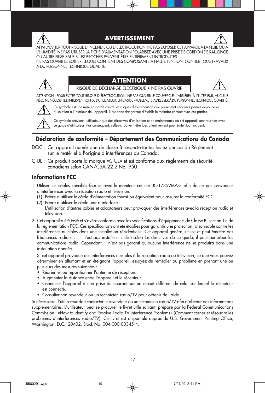

#### **AVERTISSEMENT**



AFIN D'ÉVITER TOUT RISQUE D'INCENDIE OU D'ÉLECTROCUTION, NE PAS EXPOSER CET APPAREIL À LA PLUIE OU À L'HUMIDITÉ. NE PAS UTILISER LA FICHE D'ALIMENTATION POLARISÉE AVEC UNE PRISE DE CORDON DE RALLONGE OU AUTRE PRISE SAUF SI LES BROCHES PEUVENT ÊTRE ENTIÈREMENT INTRODUITES. NE PAS OUVRIR LE BOÎTIER, LEQUEL CONTIENT DES COMPOSANTS À HAUTE TENSION. CONFIER TOUS TRAVAUX

À DU PERSONNEL TECHNIQUE QUALIFIÉ.

#### **ATTENTION** RISQUE DE DÉCHARGE ÉLECTRIQUE • NE PAS OUVRIR



ATTENTION : POUR ÉVITER TOUT RISQUE D'ÉLECTROCUTION, NE PAS OUVRIR LE COUVERCLE (L'ARRIÈRE). À L'INTÉRIEUR, AUCUNE PIÈCE NE NÉCESSITE L'INTERVENTION DE L'UTILISATEUR. EN CAS DE PROBLÈME, S'ADRESSER À DU PERSONNEL TECHNIQUE QUALIFIÉ.



Ce symbole est une mise en garde contre les risques d'électrocution que présentent certaines parties dépourvues d'isolation à l'intérieur de l'appareil. Il est donc dangereux d'établir le moindre contact avec ces parties.

Ce symbole prévient l'utilisateur que des directives d'utilisation et de maintenance de cet appareil sont fournies avec ce guide d'utilisateur. Par conséquent, celles-ci doivent être lues attentivement pour éviter tout incident.

#### **Déclaration de conformité – Département des Communications du Canada**

- DOC : Cet appareil numérique de classe B respecte toutes les exigences du Règlement sur le matériel à l'origine d'interférences du Canada.
- C-UL : Ce produit porte la marque «C-UL» et est conforme aux règlements de sécurité canadiens selon CAN/CSA 22.2 No. 950.

#### **Informations FCC**

- 1. Utiliser les câbles spécifiés fournis avec le moniteur couleur JC-1735VMA-3 afin de ne pas provoquer d'interférences avec la réception radio et télévision.
	- (1) Prière d'utiliser le câble d'alimentation fourni ou équivalent pour assurer la conformité FCC.
	- (2) Prière d'utiliser le câble unir d'interface..
	- L'utilisation d'autres câbles et adaptateurs peut provoquer des interférences avec la réception radio et télévision.
- 2. Cet appareil a été testé et s'avère conforme avec les spécifications d'équipements de Classe B, section 15 de la réglementation FCC. Ces spécifications ont été établies pour garantir une protection raisonnable contre les interférences nuisibles dans une installation résidentielle. Cet appareil génère, utilise et peut émettre des fréquences radio et, s'il n'est pas installé et utilisé selon les directives de ce guide, il peut perturber les communications radio. Cependant, il n'est pas garanti qu'aucune interférence ne se produira dans une installation donnée.

Si cet appareil provoque des interférences nuisibles à la réception radio ou télévision, ce que vous pouvez déterminer en allumant et en éteignant l'appareil, essayez de remédier au problème en prenant une ou plusieurs des mesures suivantes :

- Réorienter ou repositionner l'antenne de réception.
- Augmenter la distance entre l'appareil et le récepteur.
- Connecter l'appareil à une prise de courant sur un circuit différent de celui sur lequel le récepteur est connecté.
- Consulter son revendeur ou un technicien radio/TV pour obtenir de l'aide.

Si nécessaire, l'utilisateur doit contacter le revendeur ou un technicien radio/TV afin d'obtenir des informations supplémentaires. L'utilisateur peut se procurer le livret utile suivant, préparé par la Federal Communications Commission : «How to Identify and Resolve Radio-TV Interference Problems» (Comment cerner et résoudre les problèmes d'interférences radio/TV). Ce livret est disponible auprès du U.S. Government Printing Office, Washington, D.C., 20402, Stock No. 004-000-00345-4.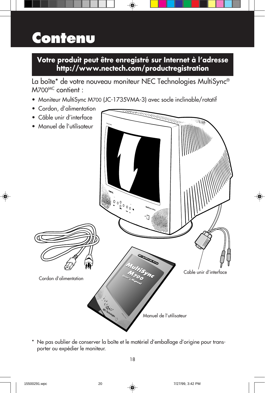## **Contenu**

### **Votre produit peut être enregistré sur Internet à l'adresse http://www.nectech.com/productregistration**

La boîte\* de votre nouveau moniteur NEC Technologies MultiSync® M700MC contient :

- Moniteur MultiSync M700 (JC-1735VMA-3) avec socle inclinable/rotatif
- Cordon, d'alimentation
- Câble unir d'interface • Manuel de l'utilisateur  $0.000000$  $\cdot$ **r's ManualNEC Multimedia Series MultiSync MultiSync** Cable unir d'interface **M<sub>700</sub>** Inc **<sup>M</sup><sup>700</sup>** Cordon d'alimentation  $u_{\varepsilon}$ **r's Manual** Manuel de l'utilisateur
	- \* Ne pas oublier de conserver la boîte et le matériel d'emballage d'origine pour transporter ou expédier le moniteur.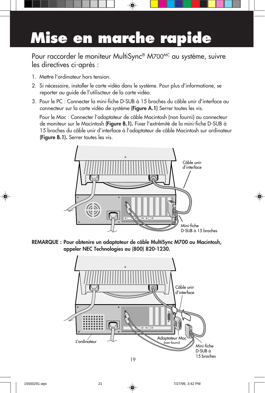# **Mise en marche rapide**

Pour raccorder le moniteur MultiSync® M700<sup>MC</sup> au système, suivre les directives ci-après :

- 1. Mettre l'ordinateur hors tension.
- 2. Si nécessaire, installer le carte vidéo dans le système. Pour plus d'informatione, se reporter au guide de l'utiliscteur de la carte vidéo.
- 3. Pour le PC : Connecter la mini-fiche D-SUB à 15 broches du câble unir d'interface au connecteur sur la carte vidéo de système (Figure A.1) Serrer toutes les vis.

Pour le Mac : Connecter l'adaptateur de câble Macintosh (non fourni) au connecteur de moniteur sur le Macintosh (Figure B.1). Fixer l'extrémité de la mini-fiche D-SUB à 15 broches du câble unir d'interface à l'adaptateur de câble Macintosh sur ordinateur (Figure B.1). Serrer toutes les vis.



REMARQUE : Pour obtenire un adaptateur de câble MultiSync M700 ou Macintosh, appeler NEC Technologies au (800) 820-1230.

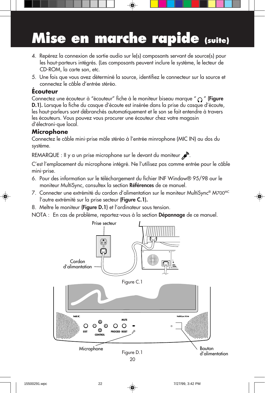# **Mise en marche rapide (suite)**

- 4. Repérez la connexion de sortie audio sur le(s) composants servant de source(s) pour les haut-parteurs intégrés. (Les composants peuvent inclure le système, le lecteur de CD-ROM, la carte son, etc.
- 5. Une fois que vous avez déterminé la source, identifiez le connecteur sur la source et connectez le câble d'entrée stéréo.

#### **Écouteur**

Connectez une écouteur à "écouteur" fiche à le moniteur biseau marque " $\bigcirc$ " (Figure D.1). Lorsque la fiche du casque d'écoute est insérée dans la prise du casque d'écoute, les haut-parleurs sont débranchés automatiquement et le son se fait entendre à travers les écouteurs. Vous pouvez vous procurer une écouteur chez votre magasin d'électroni-que local.

#### **Microphone**

Connectez le câble mini-prise mäle stéréo à l'entrée minrophone (MIC IN) au dos du systéme.

REMARQUE : Il y a un prise microphone sur le devant du moniteur ...

C'est l'emplacement du microphone intégré. Ne l'utilisez pas comme entrée pour le câble mini-prise.

- 6. Pour des information sur le téléchargement du fichier INF Window® 95/98 our le moniteur MultiSync, consultex la section Références de ce manuel.
- 7. Connecter une extrémité du cordon d'alimentation sur le moniteur MultiSync® M700MC l'autre extrémité sur la prise secteur (Figure C.1).
- 8. Meltre le moniteur (Figure D.1) et l'ordinateur sous tension.

NOTA : En cas de problème, reportez-vous à la section **Dépannage** de ce manuel.

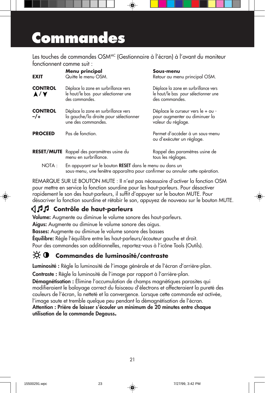### **Commandes**

Les touches de commandes OSM<sup>MC</sup> (Gestionnaire à l'écran) à l'avant du moniteur fonctionnent comme suit :

| <b>EXIT</b>            | Menu principal<br>Quitte le menu OSM.                                                                                                   | Sous-menu<br>Retour au menu principal OSM.                                                     |  |
|------------------------|-----------------------------------------------------------------------------------------------------------------------------------------|------------------------------------------------------------------------------------------------|--|
| <b>CONTROL</b><br>A/Y  | Déplace la zone en surbrillance vers<br>le haut/le bas pour sélectionner une<br>des commandes.                                          | Déplace la zone en surbrillance vers<br>le haut/le bas pour sélectionner une<br>des commandes. |  |
| <b>CONTROL</b><br>$-1$ | Déplace la zone en surbrillance vers<br>la gauche/la droite pour sélectionner<br>une des commandes.                                     | Déplace le curseur vers le + ou -<br>pour augmenter ou diminuer la<br>valeur du réglage.       |  |
| <b>PROCEED</b>         | Pas de fonction.                                                                                                                        | Permet d'accéder à un sous-menu<br>ou d'exécuter un réglage.                                   |  |
|                        | RESET/MUTE Rappel des paramètres usine du<br>menu en surbrillance.                                                                      | Rappel des paramètres usine de<br>tous les réglages.                                           |  |
| NOTA:                  | En appuyant sur le bouton RESET dans le menu ou dans un<br>sous-menu, une fenêtre apparaîtra pour confirmer ou annuler cette opération. |                                                                                                |  |

REMARQUE SUR LE BOUTON MUTE : II n'est pas nécessaire d'activer la fonction OSM pour mettre en service la fonction sourdine pour les haut-parleurs. Pour désactiver rapidement le son des haut-parleurs, il suffit d'appuyer sur le bouton MUTE. Pour désacriver la fonction sourdine et rétabir le son, appuyez de nouveau sur le bouton MUTE.

### **Contrôle de haut-parleurs**

Volume: Augmente ou diminue le volume sonore des haut-parleurs.

Aigus: Augmente ou diminue le volume sonore des aigus.

Basses: Augmente ou diminue le volume sonore des basses

Équilibre: Régle l'équilibre entre les haut-parleurs/écouteur gauche et droit.

Pour des commandes son additionnelles, reportez-vous à l'icône Tools (Outils).

#### $\phi$  o  **Commandes de luminosité/contraste**

Luminosité : Règle la luminosité de l'image générale et de l'écran d'arrière-plan.

Contraste : Règle la luminosité de l'image par rapport à l'arrière-plan.

Démagnétisation : Élimine l'accumulation de champs magnétiques parasites qui modifieraient le balayage correct du faisceau d'électrons et affecteraient la pureté des couleurs de l'écran, la netteté et la convergence. Lorsque cette commande est activée, l'image saute et tremble quelque peu pendant la démagnétisation de l'écran. Attention : Prière de laisser s'écouler un minimum de 20 minutes entre chaque

utilisation de la commande Degauss**.**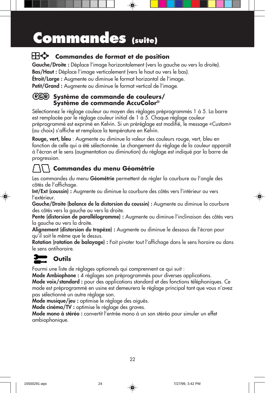## **Commandes (suite)**

### **Commandes de format et de position**

Gauche/Droite : Déplace l'image horizontalement (vers la gauche ou vers la droite). Bas/Haut : Déplace l'image verticalement (vers le haut ou vers le bas). Étroit/Large : Augmente ou diminue le format horizontal de l'image. Petit/Grand : Augmente ou diminue le format vertical de l'image.

#### **Système de commande de couleurs/ Système de commande AccuColor®**

Sélectionnez le réglage couleur au moyen des réglages préprogrammés 1 à 5. La barre est remplacée par le réglage couleur initial de 1 à 5. Chaque réglage couleur préprogrammé est exprimé en Kelvin. Si un préréglage est modifié, le message «Custom» (au choix) s'affiche et remplace la température en Kelvin.

Rouge, vert, bleu : Augmente ou diminue la valeur des couleurs rouge, vert, bleu en fonction de celle qui a été sélectionnée. Le changement du réglage de la couleur apparaît à l'écran et le sens (augmentation ou diminution) du réglage est indiqué par la barre de progression.

### **Commandes du menu Géométrie**

Les commandes du menu Géométrie permettent de régler la courbure ou l'angle des côtés de l'affichage.

Int/Ext (coussin) : Augmente ou diminue la courbure des côtés vers l'intérieur ou vers l'extérieur.

Gauche/Droite (balance de la distorsion du coussin) : Augmente ou diminue la courbure des côtés vers la gauche ou vers la droite.

Pente (distorsion de parallélogramme) : Augmente ou diminue l'inclinaison des côtés vers la gauche ou vers la droite.

Alignement (distorsion du trapèze) : Augmente ou diminue le dessous de l'écran pour qu'il soit le même que le dessus.

Rotation (rotation de balayage) : Fait pivoter tout l'affichage dans le sens horaire ou dans le sens antihoraire.

### **Outils**

Fourmi une liste de réglages optionnels qui comprennent ce qui suit :

Mode Ambiophone : 4 réglages son préprogrammés pour diverses applications.

Mode voix/standard : pour des applications standard et des fonctions téléphoniques. Ce mode est préprogrammé en usine est demeurera le réglage principal tant que vous n'avez pas sélectionné un autre réglage son.

Mode musique/jeu : optimise le réglage des aiguës.

Mode cinéma/TV : optimise le réglage des graves.

Mode mono à stéréo : convertit l'entrée mono à un son stéréo pour simuler un effet ambiophonique.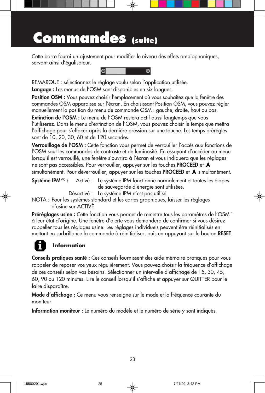### **Commandes (suite)**

Cette barre fourni un ajustement pour modifier le niveau des effets ambiophoniques, servant ainsi d'égalisateur.



REMARQUE : sélectionnez le réglage voulu selon l'application utilisée.

Langage : Les menus de l'OSM sont disponibles en six langues.

Position OSM : Vous pouvez choisir l'emplacement où vous souhaitez que la fenêtre des commandes OSM apparaisse sur l'écran. En choisissant Position OSM, vous pouvez régler manuellement la position du menu de commande OSM : gauche, droite, haut ou bas.

Extinction de l'OSM : Le menu de l'OSM restera actif aussi longtemps que vous l'utiliserez. Dans le menu d'extinction de l'OSM, vous pouvez choisir le temps que mettra l'affichage pour s'effacer après la dernière pression sur une touche. Les temps préréglés sont de 10, 20, 30, 60 et de 120 secondes.

Verrouillage de l'OSM : Cette fonction vous permet de verrouiller l'accès aux fonctions de l'OSM sauf les commandes de contraste et de luminosité. En essayant d'accéder au menu lorsqu'il est verrouillé, une fenêtre s'ouvrira à l'écran et vous indiquera que les réglages ne sont pas accessibles. Pour verrouiller, appuyer sur les touches **PROCEED** et **A**  $s$ imultanément. Pour déverrouiller, appuyer sur les touches **PROCEED** et  $\blacktriangle$  simultanément.

Système IPM<sup>MC</sup>: Activé : Le système IPM fonctionne normalement et toutes les étapes

de sauvegarde d'énergie sont utilisées.

Désactivé : Le système IPM n'est pas utilisé.

NOTA : Pour les systèmes standard et les cartes graphiques, laisser les réglages d'usine sur ACTIVÉ.

Préréglages usine : Cette fonction vous permet de remettre tous les paramètres de l'OSM™ à leur état d'origine. Une fenêtre d'alerte vous demandera de confirmer si vous désirez rappeller tous les réglages usine. Les réglages individuels peuvent être réinitialisés en mettant en surbrillance la commande à réinitialiser, puis en appuyant sur le bouton RESET.

### **Information**

Conseils pratiques santé : Ces conseils fournissent des aide-mémoire pratiques pour vous rappeler de reposer vos yeux régulièrement. Vous pouvez choisir la fréquence d'affichage de ces conseils selon vos besoins. Sélectionner un intervalle d'affichage de 15, 30, 45, 60, 90 ou 120 minutes. Lire le conseil lorsqu'il s'affiche et appuyer sur QUITTER pour le faire disparaître.

Mode d'affichage : Ce menu vous renseigne sur le mode et la fréquence courante du moniteur.

Information moniteur : Le numéro du modèle et le numéro de série y sont indiqués.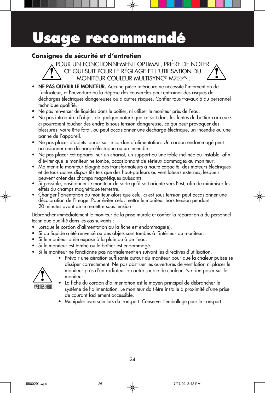### **Usage recommandé**

### **Consignes de sécurité et d'entretien**

POUR UN FONCTIONNEMENT OPTIMAL, PRIÈRE DE NOTER CE QUI SUIT POUR LE RÉGLAGE ET L'UTILISATION DU MONITEUR COULEUR MULTISYNC® M700MC :

- NE PAS OUVRIR LE MONITEUR. Aucune pièce intérieure ne nécessite l'intervention de l'utilisateur, et l'ouverture ou la dépose des couvercles peut entraîner des risques de décharges électriques dangereuses ou d'autres risques. Confier tous travaux à du personnel technique qualifié.
- Ne pas renverser de liquides dans le boîtier, ni utiliser le moniteur près de l'eau.
- Ne pas introduire d'objets de quelque nature que ce soit dans les fentes du boîtier car ceuxci pourraient toucher des endroits sous tension dangereuse, ce qui peut provoquer des blessures, voire être fatal, ou peut occasionner une décharge électrique, un incendie ou une panne de l'appareil.
- Ne pas placer d'objets lourds sur le cordon d'alimentation. Un cordon endommagé peut occasionner une décharge électrique ou un incendie.
- Ne pas placer cet appareil sur un chariot, un support ou une table inclinée ou instable, afin d'éviter que le moniteur ne tombe, occasionnant de sérieux dommages au moniteur.
- Maintenir le moniteur éloigné des transformateurs à haute capacité, des moteurs électriques et de tous autres dispositifs tels que des haut-parleurs ou ventilateurs externes, lesquels peuvent créer des champs magnétiques puissants.
- Si possible, positionner le moniteur de sorte qu'il soit orienté vers l'est, afin de minimiser les effets du champs magnétique terrestre.
- Changer l'orientation du moniteur alors que celui-ci est sous tension peut occasionner une décoloration de l'image. Pour éviter cela, mettre le moniteur hors tension pendant 20 minutes avant de le remettre sous tension.

Débrancher immédiatement le moniteur de la prise murale et confier la réparation à du personnel technique qualifié dans les cas suivants :

- Lorsque le cordon d'alimentation ou la fiche est endommagé(e).
- Si du liquide a été renversé ou des objets sont tombés à l'intérieur du moniteur.
- Si le moniteur a été exposé à la pluie ou à de l'eau.
- Si le moniteur est tombé ou le boîtier est endommagé.
- Si le moniteur ne fonctionne pas normalement en suivant les directives d'utilisation.
- 

AVEKIISSEMENT

moniteur. • La fiche du cordon d'alimentation est le moyen principal de débrancher le système de l'alimentation. Le moniteur doit être installé à proximité d'une prise de courant facilement accessible.

• Prévoir une aération suffisante autour du moniteur pour que la chaleur puisse se dissiper correctement. Ne pas obstruer les ouvertures de ventilation ni placer le moniteur près d'un radiateur ou autre source de chaleur. Ne rien poser sur le

• Manipuler avec soin lors du transport. Conserver l'emballage pour le transport.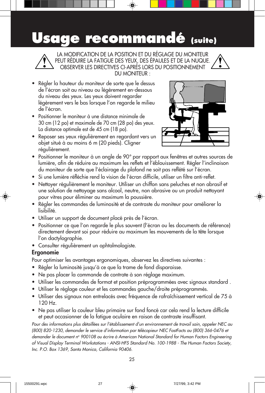### **Usage recommandé (suite)**



LA MODIFICATION DE LA POSITION ET DU RÉGLAGE DU MONITEUR PEUT RÉDUIRE LA FATIGUE DES YEUX, DES ÉPAULES ET DE LA NUQUE. OBSERVER LES DIRECTIVES CI-APRÈS LORS DU POSITIONNEMENT DU MONITEUR :

- Régler la hauteur du moniteur de sorte que le dessus de l'écran soit au niveau ou légèrement en-dessous du niveau des yeux. Les yeux doivent regarder légèrement vers le bas lorsque l'on regarde le milieu de l'écran.
- Positionner le moniteur à une distance minimale de 30 cm (12 po) et maximale de 70 cm (28 po) des yeux. La distance optimale est de 45 cm (18 po).
- Reposer ses yeux régulièrement en regardant vers un objet situé à au moins 6 m (20 pieds). Cligner régulièrement.



- Positionner le moniteur à un angle de 90° par rapport aux fenêtres et autres sources de lumière, afin de réduire au maximum les reflets et l'éblouissement. Régler l'inclinaison du moniteur de sorte que l'éclairage du plafond ne soit pas reflété sur l'écran.
- Si une lumière réfléchie rend la vision de l'écran difficile, utiliser un filtre anti-reflet.
- Nettoyer régulièrement le moniteur. Utiliser un chiffon sans peluches et non abrasif et une solution de nettoyage sans alcool, neutre, non abrasive ou un produit nettoyant pour vitres pour éliminer au maximum la poussière.
- Régler les commandes de luminosité et de contraste du moniteur pour améliorer la lisibilité.
- Utiliser un support de document placé près de l'écran.
- Positionner ce que l'on regarde le plus souvent (l'écran ou les documents de référence) directement devant soi pour réduire au maximum les mouvements de la tête lorsque l'on dactylographie.
- Consulter régulièrement un ophtalmologiste.

#### Ergonomie

Pour optimiser les avantages ergonomiques, observez les directives suivantes :

- Régler la luminosité jusqu'à ce que la trame de fond disparaisse.
- Ne pas placer la commande de contrate à son réglage maximum.
- Utiliser les commandes de format et position préprogrammées avec signaux standard .
- Utiliser le réglage couleur et les commandes gauche/droite préprogrammés.
- Utiliser des signaux non entrelacés avec fréquence de rafraîchissement vertical de 75 à 120 Hz.
- Ne pas utiliser la couleur bleu primaire sur fond foncé car cela rend la lecture difficile et peut occasionner de la fatigue oculaire en raison de contraste insuffisant.

Pour des informations plus détaillées sur l'établissement d'un environnement de travail sain, appeler NEC au (800) 820-1230, demander le service d'information par télécopieur NEC FastFacts au (800) 366-0476 et demander le document n° 900108 ou écrire à American National Standard for Human Factors Engineering of Visual Display Terminal Workstations - ANSI-HFS Standard No. 100-1988 - The Human Factors Society, Inc. P.O. Box 1369, Santa Monica, California 90406.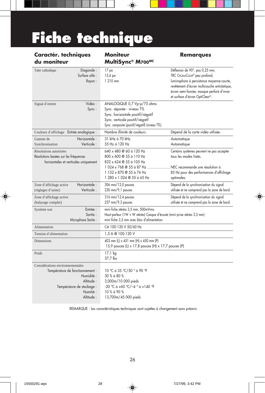# **Fiche technique**

### **Caractér. techniques Moniteur Remarques (EU)**<br>du moniteur MultiSync® Mzoo<sup>mc</sup>

**MultiSync® M700MC** 

♠

|                                                                                                                                                      | monisyng miyov                                                                                                                                                                                       |                                                                                                                                                                                                                                            |
|------------------------------------------------------------------------------------------------------------------------------------------------------|------------------------------------------------------------------------------------------------------------------------------------------------------------------------------------------------------|--------------------------------------------------------------------------------------------------------------------------------------------------------------------------------------------------------------------------------------------|
| Diagonale:<br>Tube cathodique<br>Surface utile :<br>Rayon:                                                                                           | 17 <sub>po</sub><br>15,6 po<br>1 210 mm                                                                                                                                                              | Déflexion de 90°, pas 0,25 mm,<br>TRC CROMACLEAR® peu profond,<br>luminophore à persistance moyenne-courte,<br>revêtement d'écran multicouche antistatique,<br>écran semi-foncée, masque perforé d'invar<br>et surface d'écran OptiClear®. |
| Vidéo:<br>Signal d'entrée<br>Sync:                                                                                                                   | ANALOGIQUE 0,7 Vp-p/75 ohms<br>Sync. séparée - niveau TTL<br>Sync. horizontale positif/négatif<br>Sync. verticale positif/négatif<br>Sync. composite (positif/négatif) (niveau TTL)                  |                                                                                                                                                                                                                                            |
| Couleurs d'affichage Entrée analogique :                                                                                                             | Nombre illimité de couleurs                                                                                                                                                                          | Dépend de la carte vidéo utilisée.                                                                                                                                                                                                         |
| Horizontale:<br>Gamme de<br>Verticale:<br>Synchronisation                                                                                            | 31 kHz à 70 kHz<br>55 Hz à 120 Hz                                                                                                                                                                    | Automatique<br>Automatique                                                                                                                                                                                                                 |
| Résolutions autorisées<br>Résolutions basées sur les fréquences<br>horizontales et verticales uniquement                                             | 640 x 480 @ 60 à 120 Hz<br>800 x 600 @ 55 à 110 Hz<br>832 x 624 @ 55 à 105 Hz<br>1 024 x 768 @ 55 à 87 Hz  NEC recommande une résolution à<br>1 152 x 870 @ 55 à 76 Hz<br>1 280 x 1 024 @ 55 à 65 Hz | Certains systèmes peuvent ne pas accepter<br>tous les modes listés.<br>85 Hz pour des performances d'affichage<br>optimales.                                                                                                               |
| Horizontale:<br>Zone d'affichage active<br>Verticale:<br>(réglages d'usine)                                                                          | 306 mm/12,0 pouces<br>230 mm/9,1 pouces                                                                                                                                                              | Dépend de la synchronisation du signal<br>utilisée et ne comprend pas la zone de bord.                                                                                                                                                     |
| Zone d'affichage active<br>(balayage complet)                                                                                                        | 316 mm/12,4 pouces<br>237 mm/9,3 pouces                                                                                                                                                              | Dépend de la synchronisation du signal<br>utilisée et ne comprend pas la zone de bord.                                                                                                                                                     |
| Entrée:<br>Système son<br>Sortie:<br>Microphone Sortie :                                                                                             | mini-fiche stéréo 3,5 mm, 500mVrms<br>Haut-parleur (1W + W stéréo) Casque d'écoute (mini-prise stéréo 3,5 mm)<br>mini-fiche 3,5 mm avec bloc d'alimentation                                          |                                                                                                                                                                                                                                            |
| Alimentation                                                                                                                                         | CA 100-120 V 50/60 Hz                                                                                                                                                                                |                                                                                                                                                                                                                                            |
| Tension d'alimentation                                                                                                                               | 1,5 A @ 100-120 V                                                                                                                                                                                    |                                                                                                                                                                                                                                            |
| <b>Dimensions</b>                                                                                                                                    | 403 mm (L) x 451 mm (H) x 450 mm (P)<br>15,9 pouces (L) x 17,8 pouces (H) x 17,7 pouces (P)                                                                                                          |                                                                                                                                                                                                                                            |
| Poids                                                                                                                                                | 17,1 kg<br>37,7 lbs                                                                                                                                                                                  |                                                                                                                                                                                                                                            |
| Considérations environnementales<br>Température de fonctionnement :<br>Humidité:<br>Altitude:<br>Température de stockage :<br>Humitié:<br>Altitude : | 10 °C à 35 °C/50 ° à 90 °F<br>30 % à 80 %<br>3,000m/10 000 pieds<br>$-20$ °C à +60 °C/-4 ° à +140 °F<br>10 % à 90 %<br>13,700m/45 000 pieds                                                          |                                                                                                                                                                                                                                            |

REMARQUE : Les caractéristiques techniques sont sujettes à changement sans préavis

◈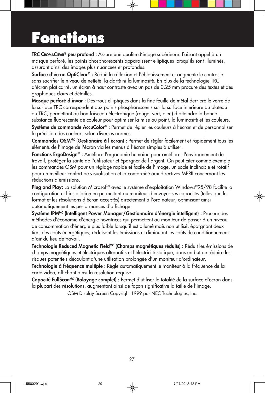## **Fonctions**

TRC CROMACLEAR® peu profond : Assure une qualité d'image supérieure. Faisant appel à un masque perforé, les points phosphorescents apparaissent elliptiques lorsqu'ils sont illuminés, assurant ainsi des images plus nuancées et profondes.

Surface d'écran OptiClear® : Réduit la réflexion et l'éblouissement et augmente le contraste sans sacrifier le niveau de netteté, la clarté ni la luminosité. En plus de la technologie TRC d'écran plat carré, un écran à haut contraste avec un pas de 0,25 mm procure des textes et des graphiques clairs et détaillés.

Masque perforé d'invar : Des trous elliptiques dans la fine feuille de métal derrière le verre de la surface TRC correspondent aux points phosphorescents sur la surface intérieure du plateau du TRC, permettant au bon faisceau électronique (rouge, vert, bleu) d'atteindre la bonne substance fluorescente de couleur pour optimiser la mise au point, la luminosité et les couleurs.

Système de commande AccuColor® : Permet de régler les couleurs à l'écran et de personnaliser la précision des couleurs selon diverses normes.

Commandes OSM<sup>MC</sup> (Gestionaire à l'écran) : Permet de régler facilement et rapidement tous les éléments de l'image de l'écran via les menus à l'écran simples à utiliser.

Fonctions ErgoDesign® : Améliore l'ergonomie humaine pour améliorer l'environnement de travail, protéger la santé de l'utilisateur et épargner de l'argent. On peut citer comme exemple les commandes OSM pour un réglage rapide et facile de l'image, un socle inclinable et rotatif pour un meilleur confort de visualisation et la conformité aux directives MPRII concernant les réductions d'émissions.

Plug and Play: La solution Microsoft® avec le système d'exploitation Windows®95/98 facilite la configuration et l'installation en permettant au moniteur d'envoyer ses capacités (telles que le format et les résolutions d'écran acceptés) directement à l'ordinateur, optimisant ainsi automatiquement les performances d'affichage.

Système IPMMC (Intelligent Power Manager/Gestionnaire d'énergie intelligent) : Procure des méthodes d'économie d'énergie novatrices qui permettent au moniteur de passer à un niveau de consommation d'énergie plus faible lorsqu'il est allumé mais non utilisé, épargnant deux tiers des coûts énergétiques, réduisant les émissions et diminuant les coûts de conditionnement d'air du lieu de travail.

Technologie Reduced Magnetic Field<sup>MC</sup> (Champs magnétiques réduits) : Réduit les émissions de champs magnétiques et électriques alternatifs et l'électricité statique, dans un but de réduire les risques potentiels découlant d'une utilisation prolongée d'un moniteur d'ordinateur.

Technologie à fréquence multiple : Règle automatiquement le moniteur à la fréquence de la carte vidéo, affichant ainsi la résolution requise.

Capacité FullScan<sup>MC</sup> (Balayage complet) : Permet d'utiliser la totalité de la surface d'écran dans la plupart des résolutions, augmentant ainsi de façon significative la taille de l'image.

OSM Display Screen Copyright 1999 par NEC Technologies, Inc.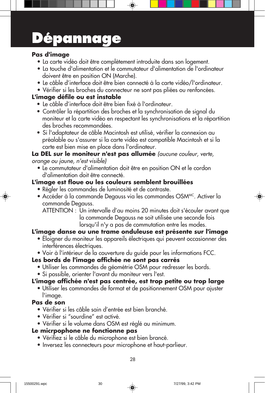# **Dépannage**

#### **Pas d'image**

- La carte vidéo doit être complètement introduite dans son logement.
- La touche d'alimentation et le commutateur d'alimentation de l'ordinateur doivent être en position ON (Marche).
- Le câble d'interface doit être bien connecté à la carte vidéo/l'ordinateur.
- Vérifier si les broches du connecteur ne sont pas pliées ou renfoncées.

### **L'image défile ou est instable**

- Le câble d'interface doit être bien fixé à l'ordinateur.
- Contrôler la répartition des broches et la synchronisation de signal du moniteur et la carte vidéo en respectant les synchronisations et la répartition des broches recommandées.
- Si l'adaptateur de câble Macintosh est utilisé, vérifier la connexion au préalable ou s'assurer si la carte vidéo est compatible Macintosh et si la carte est bien mise en place dans l'ordinateur.

#### **La DEL sur le moniteur n'est pas allumée** (aucune couleur, verte, orange ou jaune, n'est visible)

• Le commutateur d'alimentation doit être en position ON et le cordon d'alimentation doit être connecté.

### **L'image est floue ou les couleurs semblent brouillées**

- Régler les commandes de luminosité et de contraste.
- Accéder à la commande Degauss via les commandes OSMMC. Activer la commande Degauss.
	- ATTENTION : Un intervalle d'au moins 20 minutes doit s'écouler avant que la commande Degauss ne soit utilisée une seconde fois lorsqu'il n'y a pas de commutation entre les modes.

### **L'image danse ou une trame onduleuse est présente sur l'image**

• Éloigner du moniteur les appareils électriques qui peuvent occasionner des interférences électriques.

• Voir à l'intérieur de la couverture du guide pour les informations FCC.

#### **Les bords de l'image affichée ne sont pas carrés**

- Utiliser les commandes de géométrie OSM pour redresser les bords.
- Si possible, orienter l'avant du moniteur vers l'est.

### **L'image affichée n'est pas centrée, est trop petite ou trop large**

• Utiliser les commandes de format et de positionnement OSM pour ajuster l'image.

#### **Pas de son**

- Vérifier si les câble sain d'entrée est bien branché.
- Vérifier si "sourdine" est activé.
- Vérifier si le volume dans OSM est réglé au minimum.

### **Le micrpophone ne fonctionne pas**

- Vérifiez si le câble du microphone est bien brancé.
- Inversez les connecteurs pour microphone et haut-parlieur.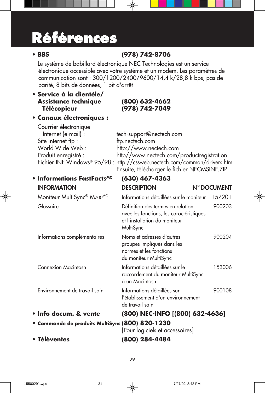# **Références**

### **• BBS (978) 742-8706**

Le système de babillard électronique NEC Technologies est un service électronique accessible avec votre système et un modem. Les paramètres de communication sont : 300/1200/2400/9600/14,4 k/28,8 k bps, pas de parité, 8 bits de données, 1 bit d'arrêt

### **• Service à la clientèle/ Assistance technique (800) 632-4662**

### **Télécopieur (978) 742-7049**

### **• Canaux électroniques :**

| Courrier électronique        |
|------------------------------|
| Internet (e-mail) :          |
| Site internet ftp :          |
| World Wide Web :             |
| Produit enregistré :         |
| Fichier INF Windows® 95/98 : |
|                              |

tech-support@nectech.com ftp.nectech.com http://www.nectech.com http//www.nectech.com/productregistration http://cssweb.nectech.com/common/drivers.htm Ensuite, télécharger le fichier NECMSINF.ZIP

| • Informations FastFacts <sup>MC</sup>          | $(630)$ 467-4363                                                                                                            |                    |
|-------------------------------------------------|-----------------------------------------------------------------------------------------------------------------------------|--------------------|
| <b>INFORMATION</b>                              | <b>DESCRIPTION</b>                                                                                                          | <b>N° DOCUMENT</b> |
| Moniteur MultiSync <sup>®</sup> M700MC          | Informations détaillées sur le moniteur                                                                                     | 157201             |
| Glossaire                                       | Définition des termes en relation<br>avec les fonctions, les caractéristiques<br>et l'installation du moniteur<br>MultiSync | 900203             |
| Informations complémentaires                    | Noms et adresses d'autres<br>groupes impliqués dans les<br>normes et les fonctions<br>du moniteur MultiSync                 | 900204             |
| Connexion Macintosh                             | Informations détaillées sur le<br>raccordement du moniteur MultiSync<br>à un Macintosh                                      | 153006             |
| Environnement de travail sain                   | Informations détaillées sur<br>l'établissement d'un environnement<br>de travail sain                                        | 900108             |
| · Info docum. & vente                           | (800) NEC-INFO [(800) 632-4636]                                                                                             |                    |
| • Commande de produits MultiSync (800) 820-1230 | [Pour logiciels et accessoires]                                                                                             |                    |

**• Téléventes (800) 284-4484**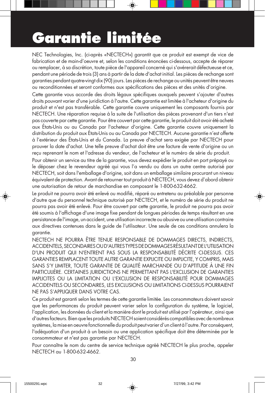# **Garantie limitée**

NEC Technologies, Inc. (ci-après «NECTECH») garantit que ce produit est exempt de vice de fabrication et de main-d'oeuvre et, selon les conditions énoncées ci-dessous, accepte de réparer ou remplacer, à sa discrétion, toute pièce de l'appareil concerné qui s'avérerait défectueuse et ce, pendant une période de trois (3) ans à partir de la date d'achat initial. Les pièces de rechange sont garanties pendant quatre-vingt dix (90) jours. Les pièces de rechange ou unités peuvent être neuves ou reconditionnées et seront conformes aux spécifications des pièces et des unités d'origine.

Cette garantie vous accorde des droits légaux spécifiques auxquels peuvent s'ajouter d'autres droits pouvant varier d'une juridiction à l'autre. Cette garantie est limitée à l'acheteur d'origine du produit et n'est pas transférable. Cette garantie couvre uniquement les composants fournis par NECTECH. Une réparation requise à la suite de l'utilisation des pièces provenant d'un tiers n'est pas couverte par cette garantie. Pour être couvert par cette garantie, le produit doit avoir été acheté aux États-Unis ou au Canada par l'acheteur d'origine. Cette garantie couvre uniquement la distribution du produit aux États-Unis ou au Canada par NECTECH. Aucune garantie n'est offerte à l'extérieur des États-Unis et du Canada. La preuve d'achat sera exigée par NECTECH pour prouver la date d'achat. Une telle preuve d'achat doit être une facture de vente d'origine ou un reçu reprenant le nom et l'adresse du vendeur, de l'acheteur et le numéro de série du produit.

Pour obtenir un service au titre de la garantie, vous devez expédier le produit en port prépayé ou le déposer chez le revendeur agréé qui vous l'a vendu ou dans un autre centre autorisé par NECTECH, soit dans l'emballage d'origine, soit dans un emballage similaire procurant un niveau équivalent de protection. Avant de retourner tout produit à NECTECH, vous devez d'abord obtenir une autorisation de retour de marchandise en composant le 1-800-632-4662.

Le produit ne pourra avoir été enlevé ou modifié, réparé ou entretenu au préalable par personne d'autre que du personnel technique autorisé par NECTECH, et le numéro de série du produit ne pourra pas avoir été enlevé. Pour être couvert par cette garantie, le produit ne pourra pas avoir été soumis à l'affichage d'une image fixe pendant de longues périodes de temps résultant en une persistance de l'image, un accident, une utilisation incorrecte ou abusive ou une utilisation contraire aux directives contenues dans le guide de l'utilisateur. Une seule de ces conditions annulera la garantie.

NECTECH NE POURRA ÊTRE TENUE RESPONSABLE DE DOMMAGES DIRECTS, INDIRECTS, ACCIDENTELS, SECONDAIRES OU D'AUTRES TYPES DE DOMMAGES RÉSULTANT DE L'UTILISATION D'UN PRODUIT QUI N'ENTRENT PAS SOUS LA RESPONSABILITÉ DÉCRITE CI-DESSUS. CES GARANTIES REMPLACENT TOUTE AUTRE GARANTIE EXPLICITE OU IMPLICITE, Y COMPRIS, MAIS SANS S'Y LIMITER, TOUTE GARANTIE DE QUALITÉ MARCHANDE OU D'APTITUDE À UNE FIN PARTICULIÈRE. CERTAINES JURIDICTIONS NE PERMETTANT PAS L'EXCLUSION DE GARANTIES IMPLICITES OU LA LIMITATION OU L'EXCLUSION DE RESPONSABILITÉ POUR DOMMAGES ACCIDENTELS OU SECONDAIRES, LES EXCLUSIONS OU LIMITATIONS CI-DESSUS POURRAIENT NE PAS S'APPLIQUER DANS VOTRE CAS.

Ce produit est garanti selon les termes de cette garantie limitée. Les consommateurs doivent savoir que les performances du produit peuvent varier selon la configuration du système, le logiciel, l'application, les données du client et la manière dont le produit est utilisé par l'opérateur, ainsi que d'autres facteurs. Bien que les produits NECTECH soient considérés compatibles avec de nombreux systèmes, la mise en oeuvre fonctionnelle du produit peut varier d'un client à l'autre. Par conséquent, l'adéquation d'un produit à un besoin ou une application spécifique doit être déterminée par le consommateur et n'est pas garantie par NECTECH.

Pour connaître le nom du centre de service technique agréé NECTECH le plus proche, appeler NECTECH au 1-800-632-4662.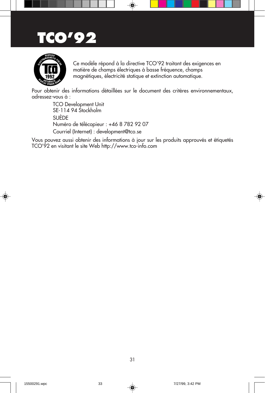### **TCO'92**



Ce modèle répond à la directive TCO'92 traitant des exigences en matière de champs électriques à basse fréquence, champs magnétiques, électricité statique et extinction automatique.

Pour obtenir des informations détaillées sur le document des critères environnementaux, adressez-vous à :

> TCO Development Unit SE-114 94 Stockholm SUÈDE Numéro de télécopieur : +46 8 782 92 07 Courriel (Internet) : development@tco.se

Vous pouvez aussi obtenir des informations à jour sur les produits approuvés et étiquetés TCO'92 en visitant le site Web http://www.tco-info.com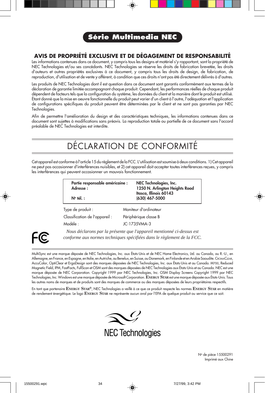### **Série Multimedia NEC**

#### **AVIS DE PROPRIÉTÉ EXCLUSIVE ET DE DÉGAGEMENT DE RESPONSABILITÉ**

Les informations contenues dans ce document, y compris tous les designs et matériel s'y rapportant, sont la propriété de NEC Technologies et/ou ses concédants. NEC Technologies se réserve les droits de fabrication brevetée, les droits d'auteurs et autres propriétés exclusives à ce document, y compris tous les droits de design, de fabrication, de reproduction, d'utilisation et de vente y afférent, à condition que ces droits n'ont pas été directement délivrés à d'autres.

Les produits de NEC Technologies dont il est question dans ce document sont garantis conformément aux termes de la déclaration de garantie limitée accompagnant chaque produit. Cependant, les performances réelles de chaque produit dépendent de facteurs tels que la configuration du système, les données du client et la manière dont le produit est utilisé. Étant donné que la mise en oeuvre fonctionnelle du produit peut varier d'un client à l'autre, l'adéquation et l'application de configurations spécifiques du produit peuvent être déterminées par le client et ne sont pas garanties par NEC Technologies.

Afin de permettre l'amélioration du design et des caractéristiques techniques, les informations contenues dans ce document sont sujettes à modifications sans préavis. La reproduction totale ou partielle de ce document sans l'accord préalable de NEC Technologies est interdite.

### DÉCLARATION DE CONFORMITÉ

Cet appareil est conforme à l'article 15 du règlement de la FCC. L'utilisation est soumise à deux conditions. 1) Cet appareil ne peut pas occasionner d'interférences nuisibles, et 2) cet appareil doit accepter toutes interférences reçues, y compris les interférences qui peuvent occasionner un mauvais fonctionnement.

| Partie responsable américaine :<br>Adresse: | NEC Technologies, Inc.<br>1250 N. Arlington Heights Road<br>Itasca, Illinois 60143 |
|---------------------------------------------|------------------------------------------------------------------------------------|
| $N^{\circ}$ tél. :                          | (630) 467-5000                                                                     |
| Type de produit :                           | Moniteur d'ordinateur                                                              |

Classification de l'appareil : Périphérique classe B Modèle : JC-1735VMA-3



*Nous déclarons par la présente que l'appareil mentionné ci-dessus est conforme aux normes techniques spécifiées dans le règlement de la FCC.*

MultiSync est une marque déposée de NEC Technologies, Inc. aux États-Unis et de NEC Home Electronics, Ltd. au Canada, au R.-U., en Allemagne, en France, en Espagne, en Italie, en Autriche, au Benelux, en Suisse, au Danemark, en Finlande et en Arabie Saoudite. CROMACLEAR, AccuColor, OptiClear et ErgoDesign sont des marques déposées de NEC Technologies, Inc. aux États-Unis et au Canada. M700, Reduced Magnetic Field, IPM, FastFacts, FullScan et OSM sont des marques déposées de NEC Technologies aux États-Unis et au Canada. NEC est une marque déposée de NEC Corporation. Copyright 1999 par NEC Technologies, Inc. OSM Display Screens Copyright 1999 par NEC Technologies, Inc. Windows est une marque déposée de Microsoft Corporation. **ENERGY STAR** est une marque déposée aux États-Unis. Tous les autres noms de marques et de produits sont des marques de commerce ou des marques déposées de leurs propriétaires respectifs.

En tant que partenaire **ENERGY STAR®**, NEC Technologies a veillé à ce que ce produit respecte les normes **ENERGY STAR** en matière de rendement énergétique. Le logo **ENERGY STAR** ne représente aucun aval par l'EPA de quelque produit ou service que ce soit.





No de pièce 15500291 Imprimé aux Chine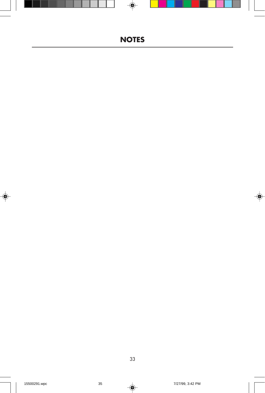### **NOTES**

◈

33

 $\blacklozenge$